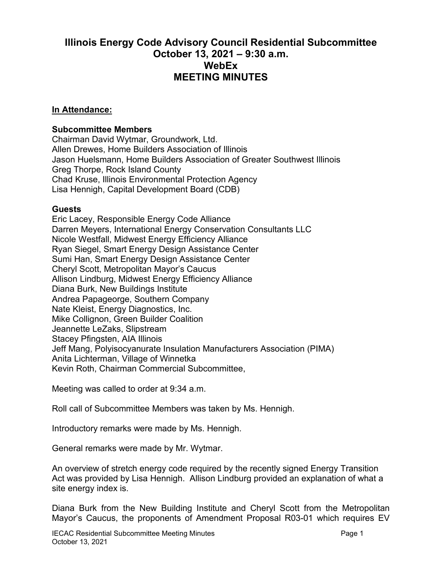## **Illinois Energy Code Advisory Council Residential Subcommittee October 13, 2021 – 9:30 a.m. WebEx MEETING MINUTES**

## **In Attendance:**

## **Subcommittee Members**

Chairman David Wytmar, Groundwork, Ltd. Allen Drewes, Home Builders Association of Illinois Jason Huelsmann, Home Builders Association of Greater Southwest Illinois Greg Thorpe, Rock Island County Chad Kruse, Illinois Environmental Protection Agency Lisa Hennigh, Capital Development Board (CDB)

## **Guests**

Eric Lacey, Responsible Energy Code Alliance Darren Meyers, International Energy Conservation Consultants LLC Nicole Westfall, Midwest Energy Efficiency Alliance Ryan Siegel, Smart Energy Design Assistance Center Sumi Han, Smart Energy Design Assistance Center Cheryl Scott, Metropolitan Mayor's Caucus Allison Lindburg, Midwest Energy Efficiency Alliance Diana Burk, New Buildings Institute Andrea Papageorge, Southern Company Nate Kleist, Energy Diagnostics, Inc. Mike Collignon, Green Builder Coalition Jeannette LeZaks, Slipstream Stacey Pfingsten, AIA Illinois Jeff Mang, Polyisocyanurate Insulation Manufacturers Association (PIMA) Anita Lichterman, Village of Winnetka Kevin Roth, Chairman Commercial Subcommittee,

Meeting was called to order at 9:34 a.m.

Roll call of Subcommittee Members was taken by Ms. Hennigh.

Introductory remarks were made by Ms. Hennigh.

General remarks were made by Mr. Wytmar.

An overview of stretch energy code required by the recently signed Energy Transition Act was provided by Lisa Hennigh. Allison Lindburg provided an explanation of what a site energy index is.

Diana Burk from the New Building Institute and Cheryl Scott from the Metropolitan Mayor's Caucus, the proponents of Amendment Proposal R03-01 which requires EV